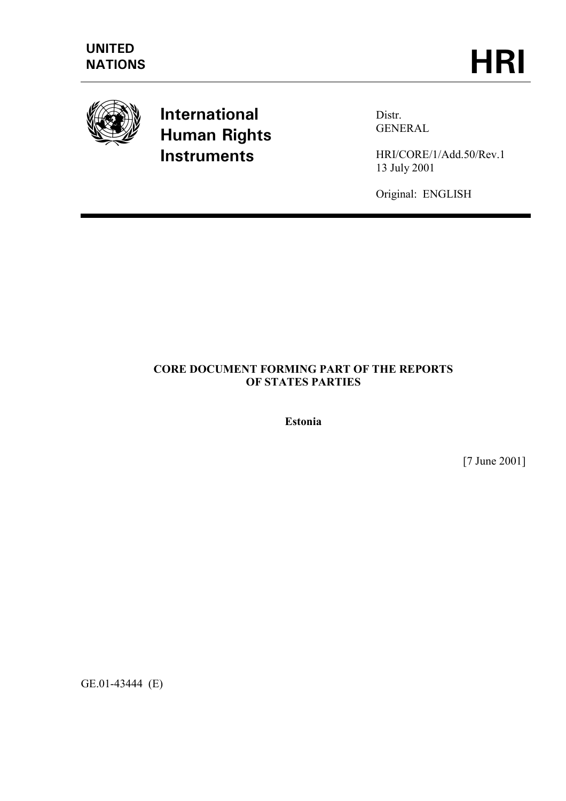

# **International Human Rights Instruments**

Distr. GENERAL

HRI/CORE/1/Add.50/Rev.1 13 July 2001

Original: ENGLISH

## **CORE DOCUMENT FORMING PART OF THE REPORTS OF STATES PARTIES**

**Estonia** 

[7 June 2001]

GE.01-43444 (E)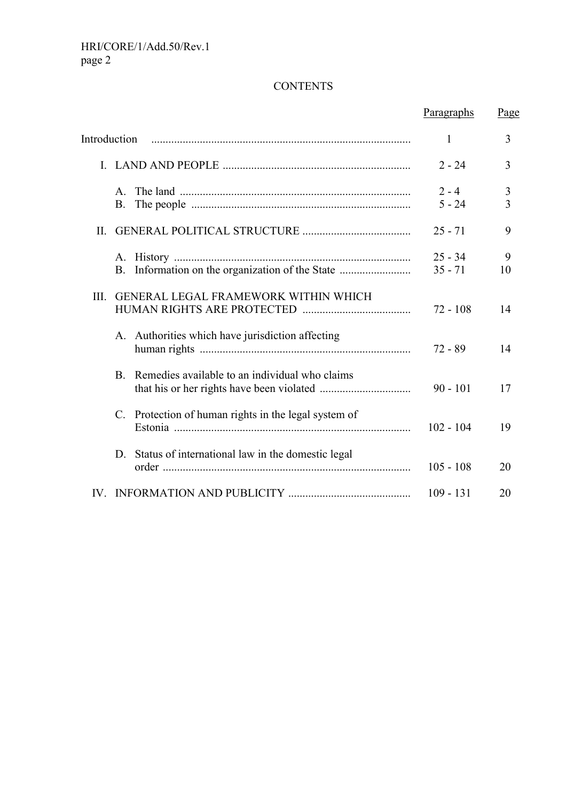# **CONTENTS**

|                           |                                                      | Paragraphs             | Page                |
|---------------------------|------------------------------------------------------|------------------------|---------------------|
| Introduction              |                                                      | 1                      | 3                   |
|                           |                                                      | $2 - 24$               | 3                   |
| $\mathsf{A}$<br><b>B.</b> |                                                      | $2 - 4$<br>$5 - 24$    | 3<br>$\overline{3}$ |
|                           |                                                      | $25 - 71$              | 9                   |
|                           | B. Information on the organization of the State      | $25 - 34$<br>$35 - 71$ | 9<br>10             |
| III.                      | <b>GENERAL LEGAL FRAMEWORK WITHIN WHICH</b>          | $72 - 108$             | 14                  |
|                           | A. Authorities which have jurisdiction affecting     | $72 - 89$              | 14                  |
| B.                        | Remedies available to an individual who claims       | $90 - 101$             | 17                  |
|                           | C. Protection of human rights in the legal system of | $102 - 104$            | 19                  |
|                           | D. Status of international law in the domestic legal | $105 - 108$            | 20                  |
|                           |                                                      | $109 - 131$            | 20                  |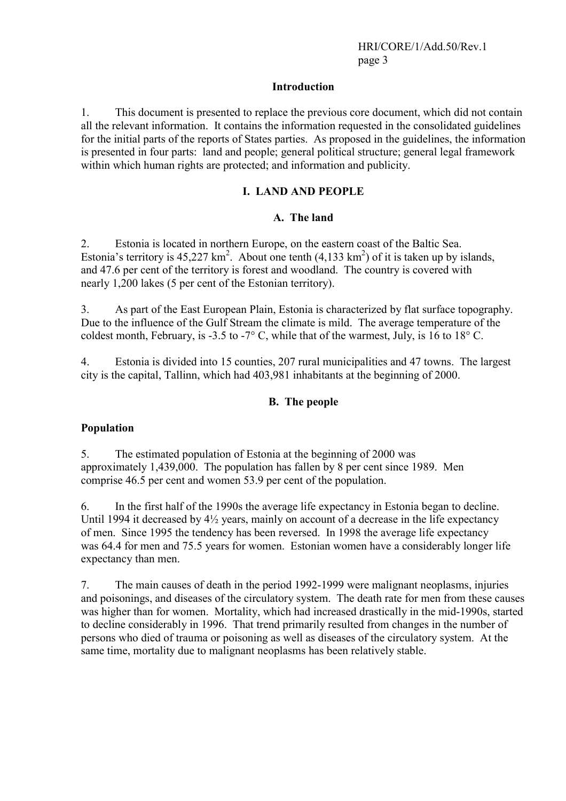#### **Introduction**

1. This document is presented to replace the previous core document, which did not contain all the relevant information. It contains the information requested in the consolidated guidelines for the initial parts of the reports of States parties. As proposed in the guidelines, the information is presented in four parts: land and people; general political structure; general legal framework within which human rights are protected; and information and publicity.

#### **I. LAND AND PEOPLE**

#### **A. The land**

2. Estonia is located in northern Europe, on the eastern coast of the Baltic Sea. Estonia's territory is  $45,227 \text{ km}^2$ . About one tenth  $(4,133 \text{ km}^2)$  of it is taken up by islands, and 47.6 per cent of the territory is forest and woodland. The country is covered with nearly 1,200 lakes (5 per cent of the Estonian territory).

3. As part of the East European Plain, Estonia is characterized by flat surface topography. Due to the influence of the Gulf Stream the climate is mild. The average temperature of the coldest month, February, is -3.5 to -7 $\degree$  C, while that of the warmest, July, is 16 to 18 $\degree$  C.

4. Estonia is divided into 15 counties, 207 rural municipalities and 47 towns. The largest city is the capital, Tallinn, which had 403,981 inhabitants at the beginning of 2000.

#### **B. The people**

#### **Population**

5. The estimated population of Estonia at the beginning of 2000 was approximately 1,439,000. The population has fallen by 8 per cent since 1989. Men comprise 46.5 per cent and women 53.9 per cent of the population.

6. In the first half of the 1990s the average life expectancy in Estonia began to decline. Until 1994 it decreased by  $4\frac{1}{2}$  years, mainly on account of a decrease in the life expectancy of men. Since 1995 the tendency has been reversed. In 1998 the average life expectancy was 64.4 for men and 75.5 years for women. Estonian women have a considerably longer life expectancy than men.

7. The main causes of death in the period 1992-1999 were malignant neoplasms, injuries and poisonings, and diseases of the circulatory system. The death rate for men from these causes was higher than for women. Mortality, which had increased drastically in the mid-1990s, started to decline considerably in 1996. That trend primarily resulted from changes in the number of persons who died of trauma or poisoning as well as diseases of the circulatory system. At the same time, mortality due to malignant neoplasms has been relatively stable.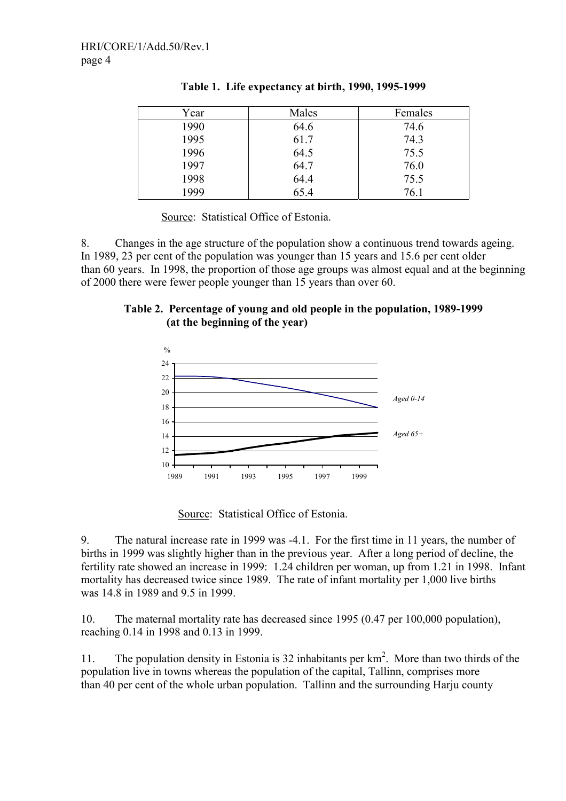| Year | Males | Females |
|------|-------|---------|
| 1990 | 64.6  | 74.6    |
| 1995 | 61.7  | 74.3    |
| 1996 | 64.5  | 75.5    |
| 1997 | 64.7  | 76.0    |
| 1998 | 64.4  | 75.5    |
| 1999 | 65.4  | 76.1    |
|      |       |         |

|  | Table 1. Life expectancy at birth, 1990, 1995-1999 |  |  |  |
|--|----------------------------------------------------|--|--|--|
|--|----------------------------------------------------|--|--|--|

Source: Statistical Office of Estonia.

8. Changes in the age structure of the population show a continuous trend towards ageing. In 1989, 23 per cent of the population was younger than 15 years and 15.6 per cent older than 60 years. In 1998, the proportion of those age groups was almost equal and at the beginning of 2000 there were fewer people younger than 15 years than over 60.





Source: Statistical Office of Estonia.

9. The natural increase rate in 1999 was -4.1. For the first time in 11 years, the number of births in 1999 was slightly higher than in the previous year. After a long period of decline, the fertility rate showed an increase in 1999: 1.24 children per woman, up from 1.21 in 1998. Infant mortality has decreased twice since 1989. The rate of infant mortality per 1,000 live births was 14.8 in 1989 and 9.5 in 1999.

10. The maternal mortality rate has decreased since 1995 (0.47 per 100,000 population), reaching 0.14 in 1998 and 0.13 in 1999.

11. The population density in Estonia is 32 inhabitants per  $km<sup>2</sup>$ . More than two thirds of the population live in towns whereas the population of the capital, Tallinn, comprises more than 40 per cent of the whole urban population. Tallinn and the surrounding Harju county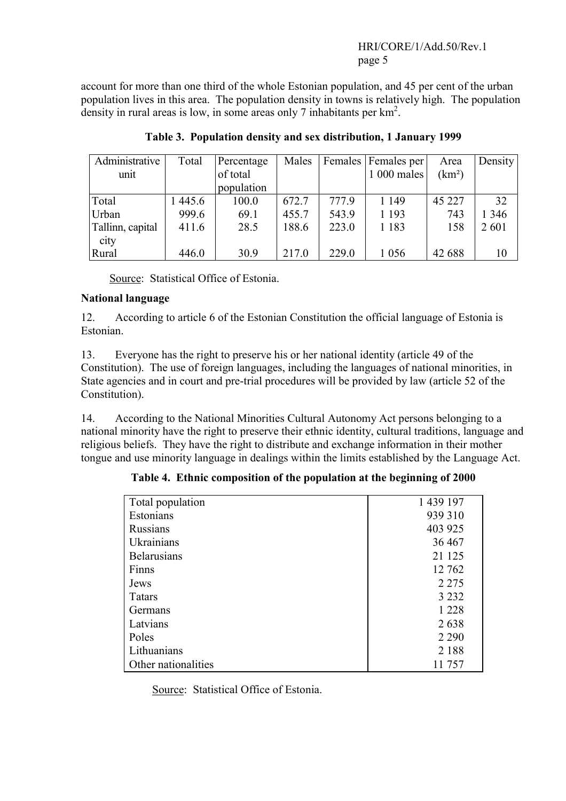## HRI/CORE/1/Add.50/Rev.1 page 5

account for more than one third of the whole Estonian population, and 45 per cent of the urban population lives in this area. The population density in towns is relatively high. The population density in rural areas is low, in some areas only 7 inhabitants per km<sup>2</sup>.

| Administrative   | Total  | Percentage | Males |       | Females   Females per | Area               | Density |
|------------------|--------|------------|-------|-------|-----------------------|--------------------|---------|
| unit             |        | of total   |       |       | 1 000 males           | (km <sup>2</sup> ) |         |
|                  |        | population |       |       |                       |                    |         |
| Total            | 1445.6 | 100.0      | 672.7 | 777.9 | 1 1 4 9               | 45 227             | 32      |
| Urban            | 999.6  | 69.1       | 455.7 | 543.9 | 1 1 9 3               | 743                | 1 3 4 6 |
| Tallinn, capital | 411.6  | 28.5       | 188.6 | 223.0 | 1 1 8 3               | 158                | 2 601   |
| city             |        |            |       |       |                       |                    |         |
| Rural            | 446.0  | 30.9       | 217.0 | 229.0 | 1 0 5 6               | 42 688             | 10      |

**Table 3. Population density and sex distribution, 1 January 1999** 

Source: Statistical Office of Estonia.

#### **National language**

12. According to article 6 of the Estonian Constitution the official language of Estonia is Estonian.

13. Everyone has the right to preserve his or her national identity (article 49 of the Constitution). The use of foreign languages, including the languages of national minorities, in State agencies and in court and pre-trial procedures will be provided by law (article 52 of the Constitution).

14. According to the National Minorities Cultural Autonomy Act persons belonging to a national minority have the right to preserve their ethnic identity, cultural traditions, language and religious beliefs. They have the right to distribute and exchange information in their mother tongue and use minority language in dealings within the limits established by the Language Act.

| Total population    | 1 439 197 |
|---------------------|-----------|
| Estonians           | 939 310   |
| <b>Russians</b>     | 403 925   |
| Ukrainians          | 36 467    |
| <b>Belarusians</b>  | 21 1 25   |
| Finns               | 12 762    |
| Jews                | 2 2 7 5   |
| <b>Tatars</b>       | 3 2 3 2   |
| Germans             | 1 2 2 8   |
| Latvians            | 2638      |
| Poles               | 2 2 9 0   |
| Lithuanians         | 2 1 8 8   |
| Other nationalities | 11757     |

**Table 4. Ethnic composition of the population at the beginning of 2000** 

Source: Statistical Office of Estonia.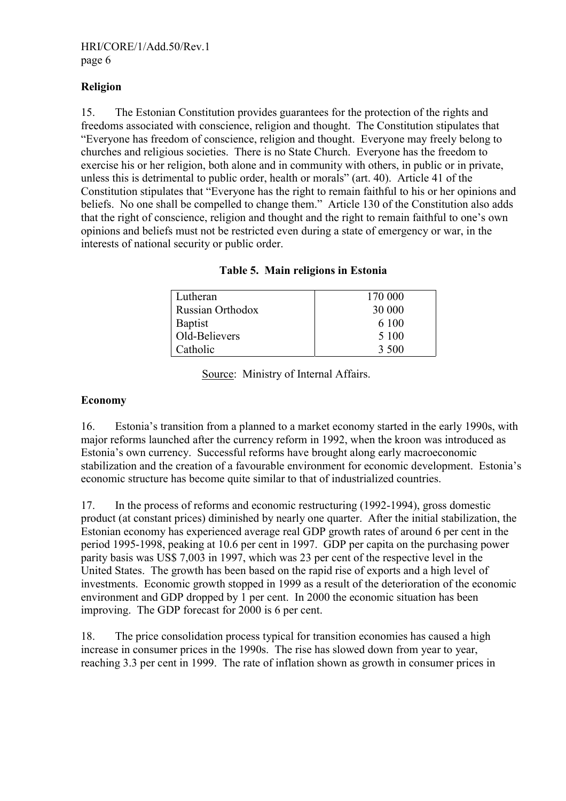## **Religion**

15. The Estonian Constitution provides guarantees for the protection of the rights and freedoms associated with conscience, religion and thought. The Constitution stipulates that "Everyone has freedom of conscience, religion and thought. Everyone may freely belong to churches and religious societies. There is no State Church. Everyone has the freedom to exercise his or her religion, both alone and in community with others, in public or in private, unless this is detrimental to public order, health or morals" (art. 40). Article 41 of the Constitution stipulates that "Everyone has the right to remain faithful to his or her opinions and beliefs. No one shall be compelled to change them." Article 130 of the Constitution also adds that the right of conscience, religion and thought and the right to remain faithful to one's own opinions and beliefs must not be restricted even during a state of emergency or war, in the interests of national security or public order.

| Lutheran         | 170 000 |
|------------------|---------|
| Russian Orthodox | 30 000  |
| <b>Baptist</b>   | 6 100   |
| Old-Believers    | 5 100   |
| Catholic         | 3 500   |

**Table 5. Main religions in Estonia** 

Source: Ministry of Internal Affairs.

## **Economy**

16. Estonia's transition from a planned to a market economy started in the early 1990s, with major reforms launched after the currency reform in 1992, when the kroon was introduced as Estonia's own currency. Successful reforms have brought along early macroeconomic stabilization and the creation of a favourable environment for economic development. Estonia's economic structure has become quite similar to that of industrialized countries.

17. In the process of reforms and economic restructuring (1992-1994), gross domestic product (at constant prices) diminished by nearly one quarter. After the initial stabilization, the Estonian economy has experienced average real GDP growth rates of around 6 per cent in the period 1995-1998, peaking at 10.6 per cent in 1997. GDP per capita on the purchasing power parity basis was US\$ 7,003 in 1997, which was 23 per cent of the respective level in the United States. The growth has been based on the rapid rise of exports and a high level of investments. Economic growth stopped in 1999 as a result of the deterioration of the economic environment and GDP dropped by 1 per cent. In 2000 the economic situation has been improving. The GDP forecast for 2000 is 6 per cent.

18. The price consolidation process typical for transition economies has caused a high increase in consumer prices in the 1990s. The rise has slowed down from year to year, reaching 3.3 per cent in 1999. The rate of inflation shown as growth in consumer prices in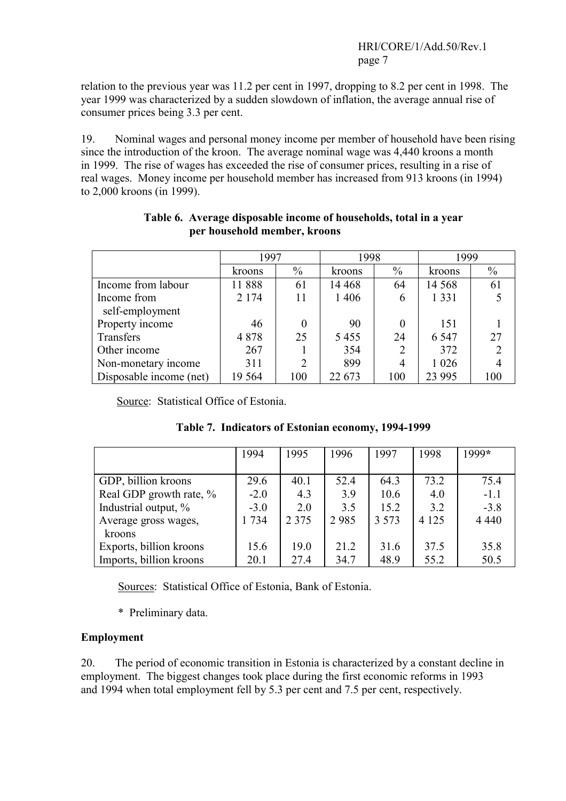relation to the previous year was 11.2 per cent in 1997, dropping to 8.2 per cent in 1998. The year 1999 was characterized by a sudden slowdown of inflation, the average annual rise of consumer prices being 3.3 per cent.

19. Nominal wages and personal money income per member of household have been rising since the introduction of the kroon. The average nominal wage was 4,440 kroons a month in 1999. The rise of wages has exceeded the rise of consumer prices, resulting in a rise of real wages. Money income per household member has increased from 913 kroons (in 1994) to 2,000 kroons (in 1999).

|                         | 1997    |                | 1998    |               | 1999    |      |
|-------------------------|---------|----------------|---------|---------------|---------|------|
|                         | kroons  | $\frac{0}{0}$  | kroons  | $\frac{0}{0}$ | kroons  | $\%$ |
| Income from labour      | 11888   | 61             | 14 4 68 | 64            | 14 5 68 | 61   |
| Income from             | 2 1 7 4 | 11             | 1 4 0 6 | 6             | 1 3 3 1 |      |
| self-employment         |         |                |         |               |         |      |
| Property income         | 46      | 0              | 90      |               | 151     |      |
| Transfers               | 4878    | 25             | 5455    | 24            | 6 5 4 7 | 27   |
| Other income            | 267     |                | 354     |               | 372     |      |
| Non-monetary income     | 311     | $\overline{2}$ | 899     | 4             | 1 0 2 6 |      |
| Disposable income (net) | 19 5 64 | 100            | 22 673  | 100           | 23 9 95 | 100  |

#### **Table 6. Average disposable income of households, total in a year per household member, kroons**

Source: Statistical Office of Estonia.

|                         | 1994   | 1995    | 1996 | 1997    | 1998    | 1999*   |
|-------------------------|--------|---------|------|---------|---------|---------|
|                         |        |         |      |         |         |         |
| GDP, billion kroons     | 29.6   | 40.1    | 52.4 | 64.3    | 73.2    | 75.4    |
| Real GDP growth rate, % | $-2.0$ | 4.3     | 3.9  | 10.6    | 4.0     | $-1.1$  |
| Industrial output, %    | $-3.0$ | 2.0     | 3.5  | 15.2    | 3.2     | $-3.8$  |
| Average gross wages,    | 1734   | 2 3 7 5 | 2985 | 3 5 7 3 | 4 1 2 5 | 4 4 4 0 |
| kroons                  |        |         |      |         |         |         |
| Exports, billion kroons | 15.6   | 19.0    | 21.2 | 31.6    | 37.5    | 35.8    |
| Imports, billion kroons | 20.1   | 27.4    | 34.7 | 48.9    | 55.2    | 50.5    |

|  |  |  | Table 7. Indicators of Estonian economy, 1994-1999 |
|--|--|--|----------------------------------------------------|
|--|--|--|----------------------------------------------------|

Sources: Statistical Office of Estonia, Bank of Estonia.

\* Preliminary data.

# **Employment**

20. The period of economic transition in Estonia is characterized by a constant decline in employment. The biggest changes took place during the first economic reforms in 1993 and 1994 when total employment fell by 5.3 per cent and 7.5 per cent, respectively.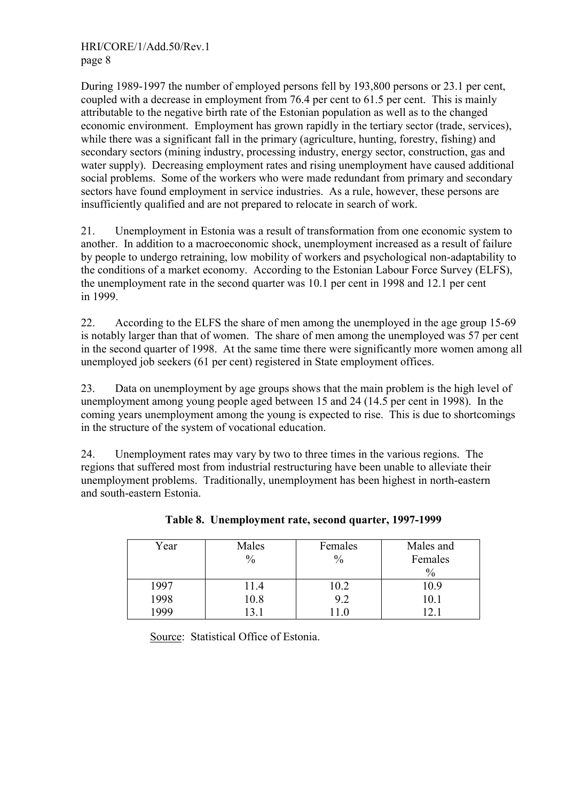During 1989-1997 the number of employed persons fell by 193,800 persons or 23.1 per cent, coupled with a decrease in employment from 76.4 per cent to 61.5 per cent. This is mainly attributable to the negative birth rate of the Estonian population as well as to the changed economic environment. Employment has grown rapidly in the tertiary sector (trade, services), while there was a significant fall in the primary (agriculture, hunting, forestry, fishing) and secondary sectors (mining industry, processing industry, energy sector, construction, gas and water supply). Decreasing employment rates and rising unemployment have caused additional social problems. Some of the workers who were made redundant from primary and secondary sectors have found employment in service industries. As a rule, however, these persons are insufficiently qualified and are not prepared to relocate in search of work.

21. Unemployment in Estonia was a result of transformation from one economic system to another. In addition to a macroeconomic shock, unemployment increased as a result of failure by people to undergo retraining, low mobility of workers and psychological non-adaptability to the conditions of a market economy. According to the Estonian Labour Force Survey (ELFS), the unemployment rate in the second quarter was 10.1 per cent in 1998 and 12.1 per cent in 1999.

22. According to the ELFS the share of men among the unemployed in the age group 15-69 is notably larger than that of women. The share of men among the unemployed was 57 per cent in the second quarter of 1998. At the same time there were significantly more women among all unemployed job seekers (61 per cent) registered in State employment offices.

23. Data on unemployment by age groups shows that the main problem is the high level of unemployment among young people aged between 15 and 24 (14.5 per cent in 1998). In the coming years unemployment among the young is expected to rise. This is due to shortcomings in the structure of the system of vocational education.

24. Unemployment rates may vary by two to three times in the various regions. The regions that suffered most from industrial restructuring have been unable to alleviate their unemployment problems. Traditionally, unemployment has been highest in north-eastern and south-eastern Estonia.

| Year | Males         | Females       | Males and     |
|------|---------------|---------------|---------------|
|      | $\frac{0}{0}$ | $\frac{0}{0}$ | Females       |
|      |               |               | $\frac{0}{0}$ |
| 1997 | 11.4          | 10.2          | 10.9          |
| 1998 | 10.8          | 9.2           | 10.1          |
| 999  |               |               |               |

**Table 8. Unemployment rate, second quarter, 1997-1999** 

Source: Statistical Office of Estonia.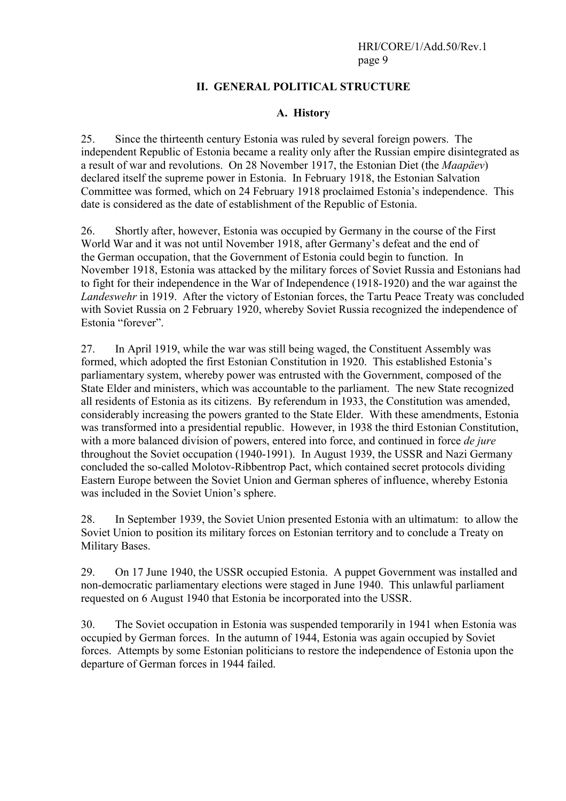## **II. GENERAL POLITICAL STRUCTURE**

#### **A. History**

25. Since the thirteenth century Estonia was ruled by several foreign powers. The independent Republic of Estonia became a reality only after the Russian empire disintegrated as a result of war and revolutions. On 28 November 1917, the Estonian Diet (the *Maapäev*) declared itself the supreme power in Estonia. In February 1918, the Estonian Salvation Committee was formed, which on 24 February 1918 proclaimed Estonia's independence. This date is considered as the date of establishment of the Republic of Estonia.

26. Shortly after, however, Estonia was occupied by Germany in the course of the First World War and it was not until November 1918, after Germany's defeat and the end of the German occupation, that the Government of Estonia could begin to function. In November 1918, Estonia was attacked by the military forces of Soviet Russia and Estonians had to fight for their independence in the War of Independence (1918-1920) and the war against the *Landeswehr* in 1919. After the victory of Estonian forces, the Tartu Peace Treaty was concluded with Soviet Russia on 2 February 1920, whereby Soviet Russia recognized the independence of Estonia "forever".

27. In April 1919, while the war was still being waged, the Constituent Assembly was formed, which adopted the first Estonian Constitution in 1920. This established Estonia's parliamentary system, whereby power was entrusted with the Government, composed of the State Elder and ministers, which was accountable to the parliament. The new State recognized all residents of Estonia as its citizens. By referendum in 1933, the Constitution was amended, considerably increasing the powers granted to the State Elder. With these amendments, Estonia was transformed into a presidential republic. However, in 1938 the third Estonian Constitution, with a more balanced division of powers, entered into force, and continued in force *de jure* throughout the Soviet occupation (1940-1991). In August 1939, the USSR and Nazi Germany concluded the so-called Molotov-Ribbentrop Pact, which contained secret protocols dividing Eastern Europe between the Soviet Union and German spheres of influence, whereby Estonia was included in the Soviet Union's sphere.

28. In September 1939, the Soviet Union presented Estonia with an ultimatum: to allow the Soviet Union to position its military forces on Estonian territory and to conclude a Treaty on Military Bases.

29. On 17 June 1940, the USSR occupied Estonia. A puppet Government was installed and non-democratic parliamentary elections were staged in June 1940. This unlawful parliament requested on 6 August 1940 that Estonia be incorporated into the USSR.

30. The Soviet occupation in Estonia was suspended temporarily in 1941 when Estonia was occupied by German forces. In the autumn of 1944, Estonia was again occupied by Soviet forces. Attempts by some Estonian politicians to restore the independence of Estonia upon the departure of German forces in 1944 failed.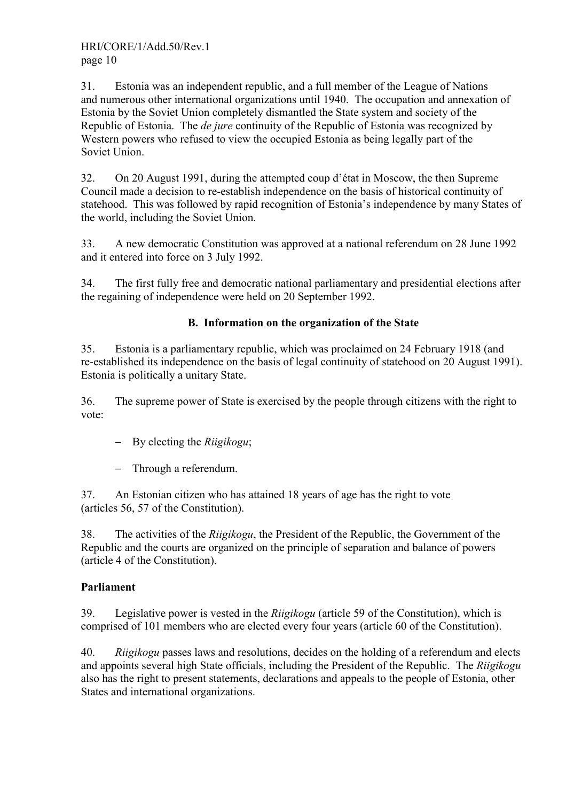31. Estonia was an independent republic, and a full member of the League of Nations and numerous other international organizations until 1940. The occupation and annexation of Estonia by the Soviet Union completely dismantled the State system and society of the Republic of Estonia. The *de jure* continuity of the Republic of Estonia was recognized by Western powers who refused to view the occupied Estonia as being legally part of the Soviet Union.

32. On 20 August 1991, during the attempted coup d'état in Moscow, the then Supreme Council made a decision to re-establish independence on the basis of historical continuity of statehood. This was followed by rapid recognition of Estonia's independence by many States of the world, including the Soviet Union.

33. A new democratic Constitution was approved at a national referendum on 28 June 1992 and it entered into force on 3 July 1992.

34. The first fully free and democratic national parliamentary and presidential elections after the regaining of independence were held on 20 September 1992.

# **B. Information on the organization of the State**

35. Estonia is a parliamentary republic, which was proclaimed on 24 February 1918 (and re-established its independence on the basis of legal continuity of statehood on 20 August 1991). Estonia is politically a unitary State.

36. The supreme power of State is exercised by the people through citizens with the right to vote:

- − By electing the *Riigikogu*;
- − Through a referendum.

37. An Estonian citizen who has attained 18 years of age has the right to vote (articles 56, 57 of the Constitution).

38. The activities of the *Riigikogu*, the President of the Republic, the Government of the Republic and the courts are organized on the principle of separation and balance of powers (article 4 of the Constitution).

# **Parliament**

39. Legislative power is vested in the *Riigikogu* (article 59 of the Constitution), which is comprised of 101 members who are elected every four years (article 60 of the Constitution).

40. *Riigikogu* passes laws and resolutions, decides on the holding of a referendum and elects and appoints several high State officials, including the President of the Republic. The *Riigikogu* also has the right to present statements, declarations and appeals to the people of Estonia, other States and international organizations.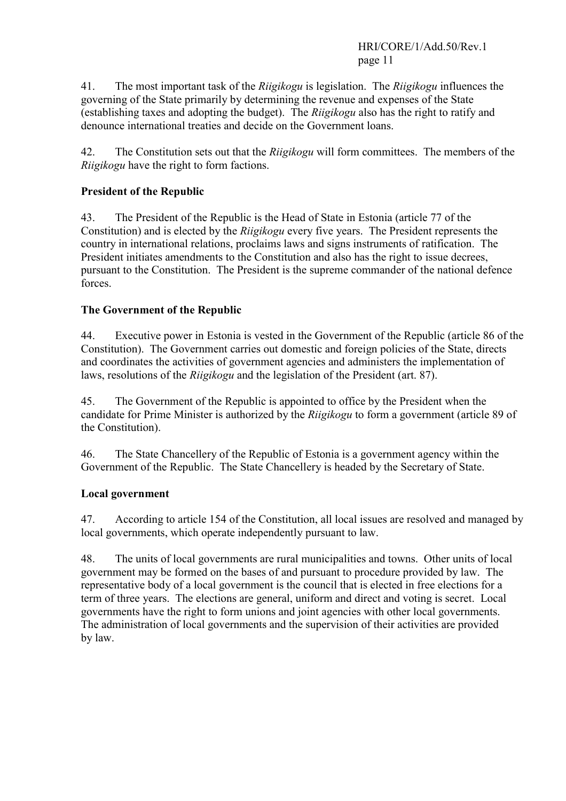HRI/CORE/1/Add.50/Rev.1 page 11

41. The most important task of the *Riigikogu* is legislation. The *Riigikogu* influences the governing of the State primarily by determining the revenue and expenses of the State (establishing taxes and adopting the budget). The *Riigikogu* also has the right to ratify and denounce international treaties and decide on the Government loans.

42. The Constitution sets out that the *Riigikogu* will form committees. The members of the *Riigikogu* have the right to form factions.

## **President of the Republic**

43. The President of the Republic is the Head of State in Estonia (article 77 of the Constitution) and is elected by the *Riigikogu* every five years. The President represents the country in international relations, proclaims laws and signs instruments of ratification. The President initiates amendments to the Constitution and also has the right to issue decrees, pursuant to the Constitution. The President is the supreme commander of the national defence forces.

#### **The Government of the Republic**

44. Executive power in Estonia is vested in the Government of the Republic (article 86 of the Constitution). The Government carries out domestic and foreign policies of the State, directs and coordinates the activities of government agencies and administers the implementation of laws, resolutions of the *Riigikogu* and the legislation of the President (art. 87).

45. The Government of the Republic is appointed to office by the President when the candidate for Prime Minister is authorized by the *Riigikogu* to form a government (article 89 of the Constitution).

46. The State Chancellery of the Republic of Estonia is a government agency within the Government of the Republic. The State Chancellery is headed by the Secretary of State.

#### **Local government**

47. According to article 154 of the Constitution, all local issues are resolved and managed by local governments, which operate independently pursuant to law.

48. The units of local governments are rural municipalities and towns. Other units of local government may be formed on the bases of and pursuant to procedure provided by law. The representative body of a local government is the council that is elected in free elections for a term of three years. The elections are general, uniform and direct and voting is secret. Local governments have the right to form unions and joint agencies with other local governments. The administration of local governments and the supervision of their activities are provided by law.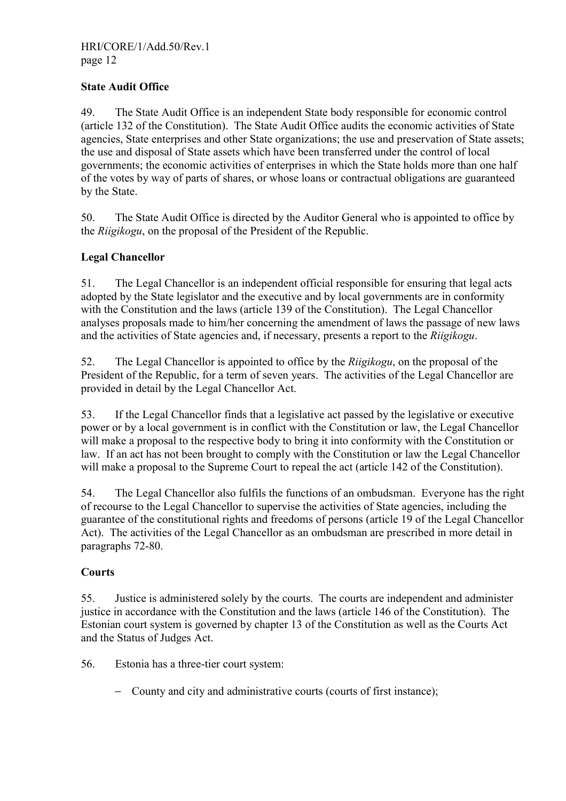#### **State Audit Office**

49. The State Audit Office is an independent State body responsible for economic control (article 132 of the Constitution). The State Audit Office audits the economic activities of State agencies, State enterprises and other State organizations; the use and preservation of State assets; the use and disposal of State assets which have been transferred under the control of local governments; the economic activities of enterprises in which the State holds more than one half of the votes by way of parts of shares, or whose loans or contractual obligations are guaranteed by the State.

50. The State Audit Office is directed by the Auditor General who is appointed to office by the *Riigikogu*, on the proposal of the President of the Republic.

#### **Legal Chancellor**

51. The Legal Chancellor is an independent official responsible for ensuring that legal acts adopted by the State legislator and the executive and by local governments are in conformity with the Constitution and the laws (article 139 of the Constitution). The Legal Chancellor analyses proposals made to him/her concerning the amendment of laws the passage of new laws and the activities of State agencies and, if necessary, presents a report to the *Riigikogu*.

52. The Legal Chancellor is appointed to office by the *Riigikogu*, on the proposal of the President of the Republic, for a term of seven years. The activities of the Legal Chancellor are provided in detail by the Legal Chancellor Act.

53. If the Legal Chancellor finds that a legislative act passed by the legislative or executive power or by a local government is in conflict with the Constitution or law, the Legal Chancellor will make a proposal to the respective body to bring it into conformity with the Constitution or law. If an act has not been brought to comply with the Constitution or law the Legal Chancellor will make a proposal to the Supreme Court to repeal the act (article 142 of the Constitution).

54. The Legal Chancellor also fulfils the functions of an ombudsman. Everyone has the right of recourse to the Legal Chancellor to supervise the activities of State agencies, including the guarantee of the constitutional rights and freedoms of persons (article 19 of the Legal Chancellor Act). The activities of the Legal Chancellor as an ombudsman are prescribed in more detail in paragraphs 72-80.

#### **Courts**

55. Justice is administered solely by the courts. The courts are independent and administer justice in accordance with the Constitution and the laws (article 146 of the Constitution). The Estonian court system is governed by chapter 13 of the Constitution as well as the Courts Act and the Status of Judges Act.

56. Estonia has a three-tier court system:

− County and city and administrative courts (courts of first instance);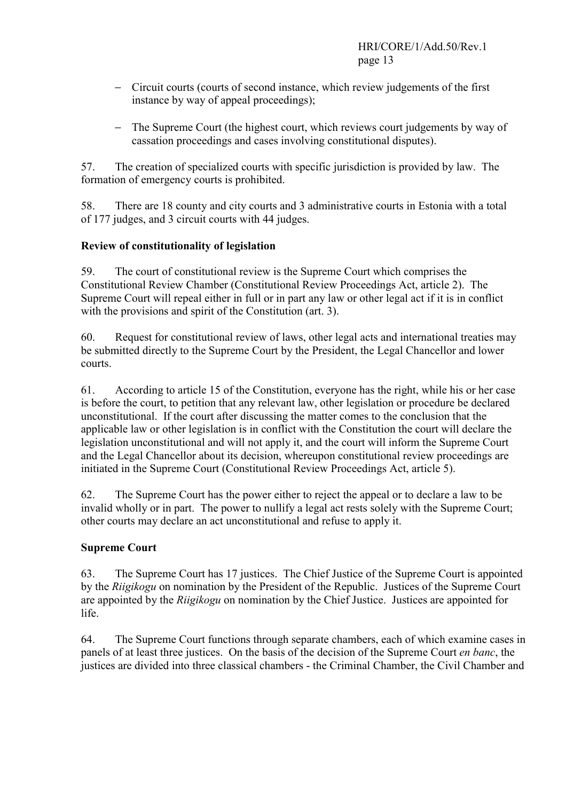- − Circuit courts (courts of second instance, which review judgements of the first instance by way of appeal proceedings);
- − The Supreme Court (the highest court, which reviews court judgements by way of cassation proceedings and cases involving constitutional disputes).

57. The creation of specialized courts with specific jurisdiction is provided by law. The formation of emergency courts is prohibited.

58. There are 18 county and city courts and 3 administrative courts in Estonia with a total of 177 judges, and 3 circuit courts with 44 judges.

## **Review of constitutionality of legislation**

59. The court of constitutional review is the Supreme Court which comprises the Constitutional Review Chamber (Constitutional Review Proceedings Act, article 2). The Supreme Court will repeal either in full or in part any law or other legal act if it is in conflict with the provisions and spirit of the Constitution (art. 3).

60. Request for constitutional review of laws, other legal acts and international treaties may be submitted directly to the Supreme Court by the President, the Legal Chancellor and lower courts.

61. According to article 15 of the Constitution, everyone has the right, while his or her case is before the court, to petition that any relevant law, other legislation or procedure be declared unconstitutional. If the court after discussing the matter comes to the conclusion that the applicable law or other legislation is in conflict with the Constitution the court will declare the legislation unconstitutional and will not apply it, and the court will inform the Supreme Court and the Legal Chancellor about its decision, whereupon constitutional review proceedings are initiated in the Supreme Court (Constitutional Review Proceedings Act, article 5).

62. The Supreme Court has the power either to reject the appeal or to declare a law to be invalid wholly or in part. The power to nullify a legal act rests solely with the Supreme Court; other courts may declare an act unconstitutional and refuse to apply it.

# **Supreme Court**

63. The Supreme Court has 17 justices. The Chief Justice of the Supreme Court is appointed by the *Riigikogu* on nomination by the President of the Republic. Justices of the Supreme Court are appointed by the *Riigikogu* on nomination by the Chief Justice. Justices are appointed for life.

64. The Supreme Court functions through separate chambers, each of which examine cases in panels of at least three justices. On the basis of the decision of the Supreme Court *en banc*, the justices are divided into three classical chambers - the Criminal Chamber, the Civil Chamber and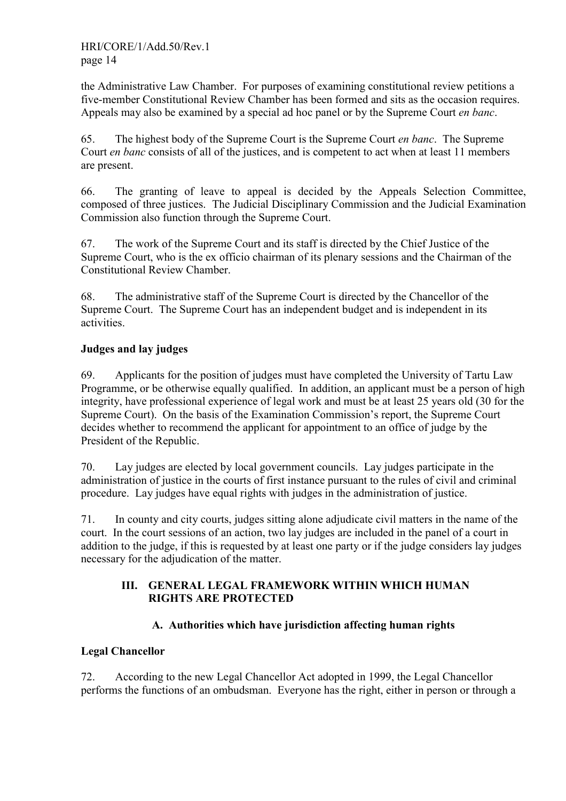the Administrative Law Chamber. For purposes of examining constitutional review petitions a five-member Constitutional Review Chamber has been formed and sits as the occasion requires. Appeals may also be examined by a special ad hoc panel or by the Supreme Court *en banc*.

65. The highest body of the Supreme Court is the Supreme Court *en banc*. The Supreme Court *en banc* consists of all of the justices, and is competent to act when at least 11 members are present.

66. The granting of leave to appeal is decided by the Appeals Selection Committee, composed of three justices. The Judicial Disciplinary Commission and the Judicial Examination Commission also function through the Supreme Court.

67. The work of the Supreme Court and its staff is directed by the Chief Justice of the Supreme Court, who is the ex officio chairman of its plenary sessions and the Chairman of the Constitutional Review Chamber.

68. The administrative staff of the Supreme Court is directed by the Chancellor of the Supreme Court. The Supreme Court has an independent budget and is independent in its activities.

# **Judges and lay judges**

69. Applicants for the position of judges must have completed the University of Tartu Law Programme, or be otherwise equally qualified. In addition, an applicant must be a person of high integrity, have professional experience of legal work and must be at least 25 years old (30 for the Supreme Court). On the basis of the Examination Commission's report, the Supreme Court decides whether to recommend the applicant for appointment to an office of judge by the President of the Republic.

70. Lay judges are elected by local government councils. Lay judges participate in the administration of justice in the courts of first instance pursuant to the rules of civil and criminal procedure. Lay judges have equal rights with judges in the administration of justice.

71. In county and city courts, judges sitting alone adjudicate civil matters in the name of the court. In the court sessions of an action, two lay judges are included in the panel of a court in addition to the judge, if this is requested by at least one party or if the judge considers lay judges necessary for the adjudication of the matter.

#### **III. GENERAL LEGAL FRAMEWORK WITHIN WHICH HUMAN RIGHTS ARE PROTECTED**

# **A. Authorities which have jurisdiction affecting human rights**

# **Legal Chancellor**

72. According to the new Legal Chancellor Act adopted in 1999, the Legal Chancellor performs the functions of an ombudsman. Everyone has the right, either in person or through a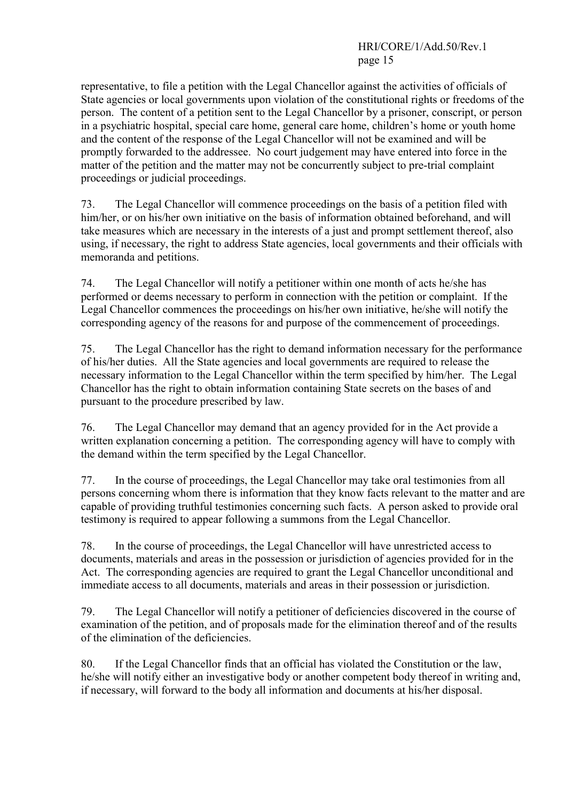## HRI/CORE/1/Add.50/Rev.1 page 15

representative, to file a petition with the Legal Chancellor against the activities of officials of State agencies or local governments upon violation of the constitutional rights or freedoms of the person. The content of a petition sent to the Legal Chancellor by a prisoner, conscript, or person in a psychiatric hospital, special care home, general care home, children's home or youth home and the content of the response of the Legal Chancellor will not be examined and will be promptly forwarded to the addressee. No court judgement may have entered into force in the matter of the petition and the matter may not be concurrently subject to pre-trial complaint proceedings or judicial proceedings.

73. The Legal Chancellor will commence proceedings on the basis of a petition filed with him/her, or on his/her own initiative on the basis of information obtained beforehand, and will take measures which are necessary in the interests of a just and prompt settlement thereof, also using, if necessary, the right to address State agencies, local governments and their officials with memoranda and petitions.

74. The Legal Chancellor will notify a petitioner within one month of acts he/she has performed or deems necessary to perform in connection with the petition or complaint. If the Legal Chancellor commences the proceedings on his/her own initiative, he/she will notify the corresponding agency of the reasons for and purpose of the commencement of proceedings.

75. The Legal Chancellor has the right to demand information necessary for the performance of his/her duties. All the State agencies and local governments are required to release the necessary information to the Legal Chancellor within the term specified by him/her. The Legal Chancellor has the right to obtain information containing State secrets on the bases of and pursuant to the procedure prescribed by law.

76. The Legal Chancellor may demand that an agency provided for in the Act provide a written explanation concerning a petition. The corresponding agency will have to comply with the demand within the term specified by the Legal Chancellor.

77. In the course of proceedings, the Legal Chancellor may take oral testimonies from all persons concerning whom there is information that they know facts relevant to the matter and are capable of providing truthful testimonies concerning such facts. A person asked to provide oral testimony is required to appear following a summons from the Legal Chancellor.

78. In the course of proceedings, the Legal Chancellor will have unrestricted access to documents, materials and areas in the possession or jurisdiction of agencies provided for in the Act. The corresponding agencies are required to grant the Legal Chancellor unconditional and immediate access to all documents, materials and areas in their possession or jurisdiction.

79. The Legal Chancellor will notify a petitioner of deficiencies discovered in the course of examination of the petition, and of proposals made for the elimination thereof and of the results of the elimination of the deficiencies.

80. If the Legal Chancellor finds that an official has violated the Constitution or the law, he/she will notify either an investigative body or another competent body thereof in writing and, if necessary, will forward to the body all information and documents at his/her disposal.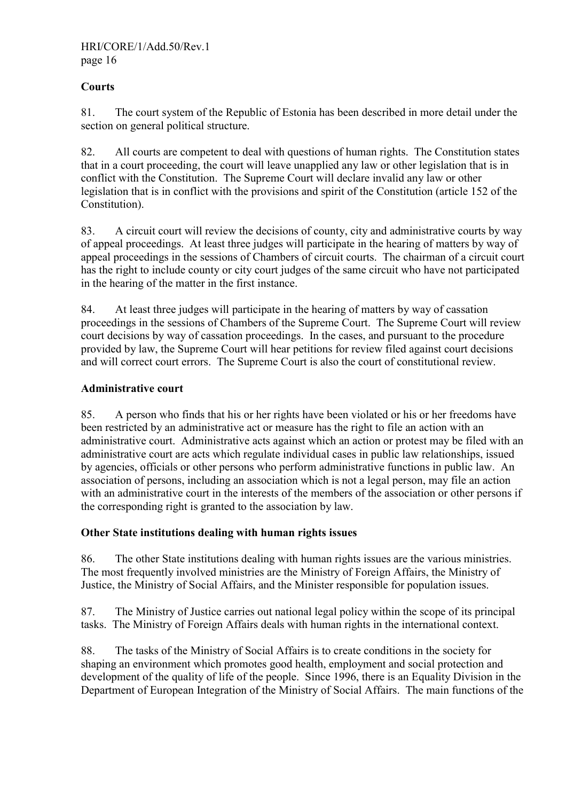## **Courts**

81. The court system of the Republic of Estonia has been described in more detail under the section on general political structure.

82. All courts are competent to deal with questions of human rights. The Constitution states that in a court proceeding, the court will leave unapplied any law or other legislation that is in conflict with the Constitution. The Supreme Court will declare invalid any law or other legislation that is in conflict with the provisions and spirit of the Constitution (article 152 of the Constitution).

83. A circuit court will review the decisions of county, city and administrative courts by way of appeal proceedings. At least three judges will participate in the hearing of matters by way of appeal proceedings in the sessions of Chambers of circuit courts. The chairman of a circuit court has the right to include county or city court judges of the same circuit who have not participated in the hearing of the matter in the first instance.

84. At least three judges will participate in the hearing of matters by way of cassation proceedings in the sessions of Chambers of the Supreme Court. The Supreme Court will review court decisions by way of cassation proceedings. In the cases, and pursuant to the procedure provided by law, the Supreme Court will hear petitions for review filed against court decisions and will correct court errors. The Supreme Court is also the court of constitutional review.

#### **Administrative court**

85. A person who finds that his or her rights have been violated or his or her freedoms have been restricted by an administrative act or measure has the right to file an action with an administrative court. Administrative acts against which an action or protest may be filed with an administrative court are acts which regulate individual cases in public law relationships, issued by agencies, officials or other persons who perform administrative functions in public law. An association of persons, including an association which is not a legal person, may file an action with an administrative court in the interests of the members of the association or other persons if the corresponding right is granted to the association by law.

#### **Other State institutions dealing with human rights issues**

86. The other State institutions dealing with human rights issues are the various ministries. The most frequently involved ministries are the Ministry of Foreign Affairs, the Ministry of Justice, the Ministry of Social Affairs, and the Minister responsible for population issues.

87. The Ministry of Justice carries out national legal policy within the scope of its principal tasks. The Ministry of Foreign Affairs deals with human rights in the international context.

88. The tasks of the Ministry of Social Affairs is to create conditions in the society for shaping an environment which promotes good health, employment and social protection and development of the quality of life of the people. Since 1996, there is an Equality Division in the Department of European Integration of the Ministry of Social Affairs. The main functions of the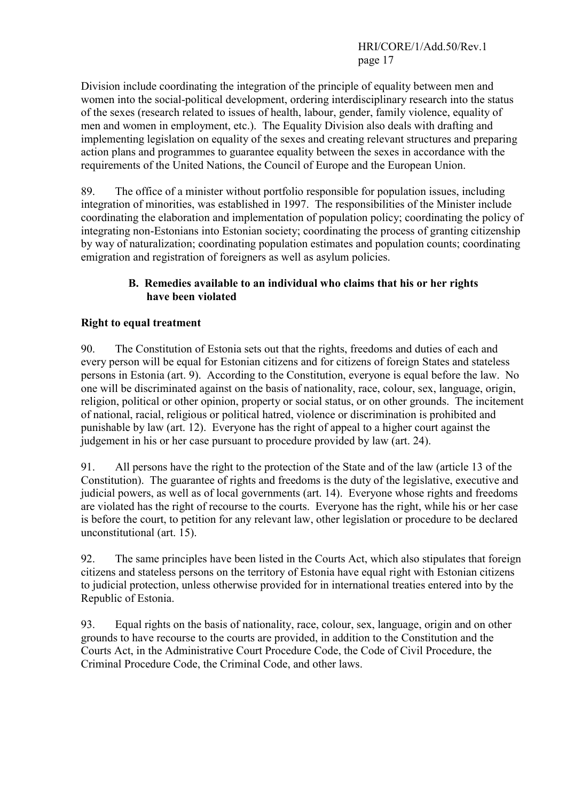Division include coordinating the integration of the principle of equality between men and women into the social-political development, ordering interdisciplinary research into the status of the sexes (research related to issues of health, labour, gender, family violence, equality of men and women in employment, etc.). The Equality Division also deals with drafting and implementing legislation on equality of the sexes and creating relevant structures and preparing action plans and programmes to guarantee equality between the sexes in accordance with the requirements of the United Nations, the Council of Europe and the European Union.

89. The office of a minister without portfolio responsible for population issues, including integration of minorities, was established in 1997. The responsibilities of the Minister include coordinating the elaboration and implementation of population policy; coordinating the policy of integrating non-Estonians into Estonian society; coordinating the process of granting citizenship by way of naturalization; coordinating population estimates and population counts; coordinating emigration and registration of foreigners as well as asylum policies.

#### **B. Remedies available to an individual who claims that his or her rights have been violated**

## **Right to equal treatment**

90. The Constitution of Estonia sets out that the rights, freedoms and duties of each and every person will be equal for Estonian citizens and for citizens of foreign States and stateless persons in Estonia (art. 9). According to the Constitution, everyone is equal before the law. No one will be discriminated against on the basis of nationality, race, colour, sex, language, origin, religion, political or other opinion, property or social status, or on other grounds. The incitement of national, racial, religious or political hatred, violence or discrimination is prohibited and punishable by law (art. 12). Everyone has the right of appeal to a higher court against the judgement in his or her case pursuant to procedure provided by law (art. 24).

91. All persons have the right to the protection of the State and of the law (article 13 of the Constitution). The guarantee of rights and freedoms is the duty of the legislative, executive and judicial powers, as well as of local governments (art. 14). Everyone whose rights and freedoms are violated has the right of recourse to the courts. Everyone has the right, while his or her case is before the court, to petition for any relevant law, other legislation or procedure to be declared unconstitutional (art. 15).

92. The same principles have been listed in the Courts Act, which also stipulates that foreign citizens and stateless persons on the territory of Estonia have equal right with Estonian citizens to judicial protection, unless otherwise provided for in international treaties entered into by the Republic of Estonia.

93. Equal rights on the basis of nationality, race, colour, sex, language, origin and on other grounds to have recourse to the courts are provided, in addition to the Constitution and the Courts Act, in the Administrative Court Procedure Code, the Code of Civil Procedure, the Criminal Procedure Code, the Criminal Code, and other laws.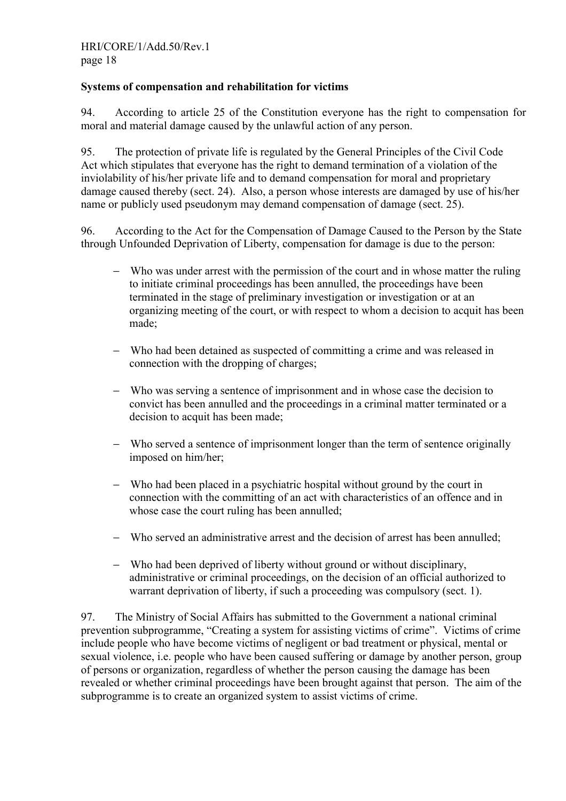## **Systems of compensation and rehabilitation for victims**

94. According to article 25 of the Constitution everyone has the right to compensation for moral and material damage caused by the unlawful action of any person.

95. The protection of private life is regulated by the General Principles of the Civil Code Act which stipulates that everyone has the right to demand termination of a violation of the inviolability of his/her private life and to demand compensation for moral and proprietary damage caused thereby (sect. 24). Also, a person whose interests are damaged by use of his/her name or publicly used pseudonym may demand compensation of damage (sect. 25).

96. According to the Act for the Compensation of Damage Caused to the Person by the State through Unfounded Deprivation of Liberty, compensation for damage is due to the person:

- − Who was under arrest with the permission of the court and in whose matter the ruling to initiate criminal proceedings has been annulled, the proceedings have been terminated in the stage of preliminary investigation or investigation or at an organizing meeting of the court, or with respect to whom a decision to acquit has been made;
- − Who had been detained as suspected of committing a crime and was released in connection with the dropping of charges;
- − Who was serving a sentence of imprisonment and in whose case the decision to convict has been annulled and the proceedings in a criminal matter terminated or a decision to acquit has been made;
- − Who served a sentence of imprisonment longer than the term of sentence originally imposed on him/her;
- − Who had been placed in a psychiatric hospital without ground by the court in connection with the committing of an act with characteristics of an offence and in whose case the court ruling has been annulled;
- − Who served an administrative arrest and the decision of arrest has been annulled;
- − Who had been deprived of liberty without ground or without disciplinary, administrative or criminal proceedings, on the decision of an official authorized to warrant deprivation of liberty, if such a proceeding was compulsory (sect. 1).

97. The Ministry of Social Affairs has submitted to the Government a national criminal prevention subprogramme, "Creating a system for assisting victims of crime". Victims of crime include people who have become victims of negligent or bad treatment or physical, mental or sexual violence, i.e. people who have been caused suffering or damage by another person, group of persons or organization, regardless of whether the person causing the damage has been revealed or whether criminal proceedings have been brought against that person. The aim of the subprogramme is to create an organized system to assist victims of crime.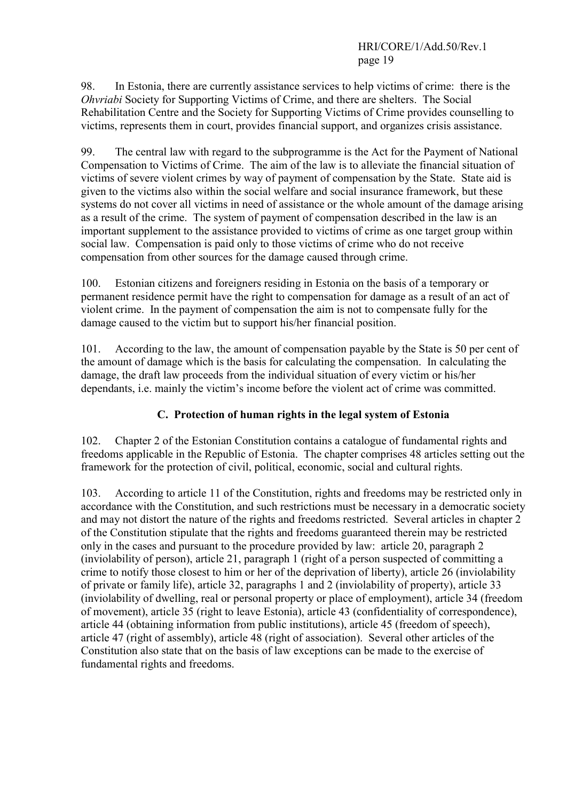98. In Estonia, there are currently assistance services to help victims of crime: there is the *Ohvriabi* Society for Supporting Victims of Crime, and there are shelters. The Social Rehabilitation Centre and the Society for Supporting Victims of Crime provides counselling to victims, represents them in court, provides financial support, and organizes crisis assistance.

99. The central law with regard to the subprogramme is the Act for the Payment of National Compensation to Victims of Crime. The aim of the law is to alleviate the financial situation of victims of severe violent crimes by way of payment of compensation by the State. State aid is given to the victims also within the social welfare and social insurance framework, but these systems do not cover all victims in need of assistance or the whole amount of the damage arising as a result of the crime. The system of payment of compensation described in the law is an important supplement to the assistance provided to victims of crime as one target group within social law. Compensation is paid only to those victims of crime who do not receive compensation from other sources for the damage caused through crime.

100. Estonian citizens and foreigners residing in Estonia on the basis of a temporary or permanent residence permit have the right to compensation for damage as a result of an act of violent crime. In the payment of compensation the aim is not to compensate fully for the damage caused to the victim but to support his/her financial position.

101. According to the law, the amount of compensation payable by the State is 50 per cent of the amount of damage which is the basis for calculating the compensation. In calculating the damage, the draft law proceeds from the individual situation of every victim or his/her dependants, i.e. mainly the victim's income before the violent act of crime was committed.

# **C. Protection of human rights in the legal system of Estonia**

102. Chapter 2 of the Estonian Constitution contains a catalogue of fundamental rights and freedoms applicable in the Republic of Estonia. The chapter comprises 48 articles setting out the framework for the protection of civil, political, economic, social and cultural rights.

103. According to article 11 of the Constitution, rights and freedoms may be restricted only in accordance with the Constitution, and such restrictions must be necessary in a democratic society and may not distort the nature of the rights and freedoms restricted. Several articles in chapter 2 of the Constitution stipulate that the rights and freedoms guaranteed therein may be restricted only in the cases and pursuant to the procedure provided by law: article 20, paragraph 2 (inviolability of person), article 21, paragraph 1 (right of a person suspected of committing a crime to notify those closest to him or her of the deprivation of liberty), article 26 (inviolability of private or family life), article 32, paragraphs 1 and 2 (inviolability of property), article 33 (inviolability of dwelling, real or personal property or place of employment), article 34 (freedom of movement), article 35 (right to leave Estonia), article 43 (confidentiality of correspondence), article 44 (obtaining information from public institutions), article 45 (freedom of speech), article 47 (right of assembly), article 48 (right of association). Several other articles of the Constitution also state that on the basis of law exceptions can be made to the exercise of fundamental rights and freedoms.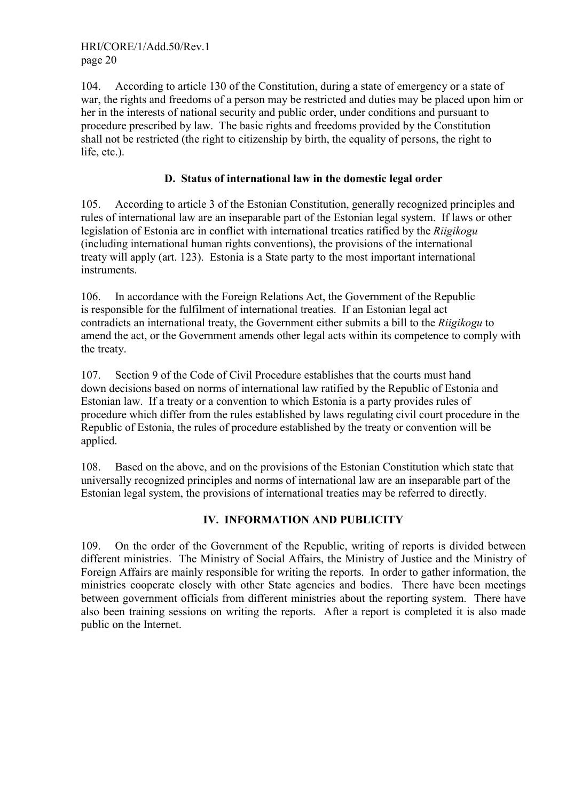104. According to article 130 of the Constitution, during a state of emergency or a state of war, the rights and freedoms of a person may be restricted and duties may be placed upon him or her in the interests of national security and public order, under conditions and pursuant to procedure prescribed by law. The basic rights and freedoms provided by the Constitution shall not be restricted (the right to citizenship by birth, the equality of persons, the right to life, etc.).

## **D. Status of international law in the domestic legal order**

105. According to article 3 of the Estonian Constitution, generally recognized principles and rules of international law are an inseparable part of the Estonian legal system. If laws or other legislation of Estonia are in conflict with international treaties ratified by the *Riigikogu* (including international human rights conventions), the provisions of the international treaty will apply (art. 123). Estonia is a State party to the most important international instruments.

106. In accordance with the Foreign Relations Act, the Government of the Republic is responsible for the fulfilment of international treaties. If an Estonian legal act contradicts an international treaty, the Government either submits a bill to the *Riigikogu* to amend the act, or the Government amends other legal acts within its competence to comply with the treaty.

107. Section 9 of the Code of Civil Procedure establishes that the courts must hand down decisions based on norms of international law ratified by the Republic of Estonia and Estonian law. If a treaty or a convention to which Estonia is a party provides rules of procedure which differ from the rules established by laws regulating civil court procedure in the Republic of Estonia, the rules of procedure established by the treaty or convention will be applied.

108. Based on the above, and on the provisions of the Estonian Constitution which state that universally recognized principles and norms of international law are an inseparable part of the Estonian legal system, the provisions of international treaties may be referred to directly.

# **IV. INFORMATION AND PUBLICITY**

109. On the order of the Government of the Republic, writing of reports is divided between different ministries. The Ministry of Social Affairs, the Ministry of Justice and the Ministry of Foreign Affairs are mainly responsible for writing the reports. In order to gather information, the ministries cooperate closely with other State agencies and bodies. There have been meetings between government officials from different ministries about the reporting system. There have also been training sessions on writing the reports. After a report is completed it is also made public on the Internet.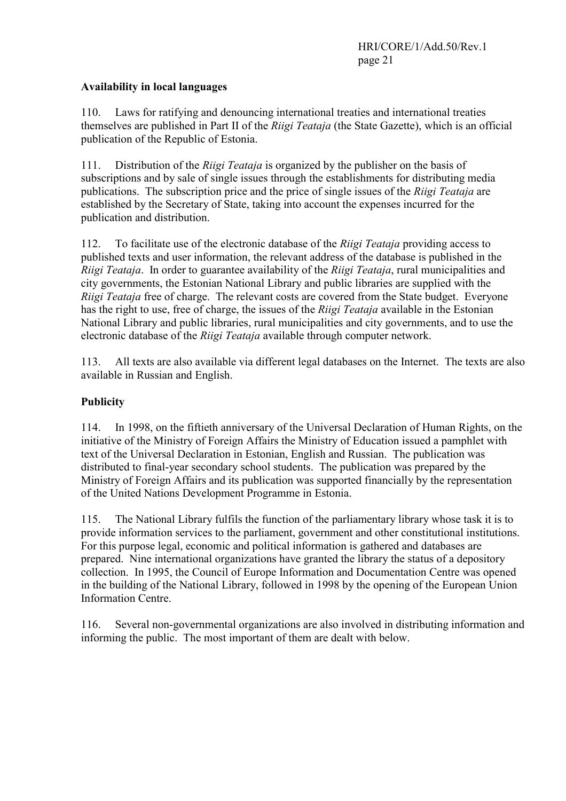## **Availability in local languages**

110. Laws for ratifying and denouncing international treaties and international treaties themselves are published in Part II of the *Riigi Teataja* (the State Gazette), which is an official publication of the Republic of Estonia.

111. Distribution of the *Riigi Teataja* is organized by the publisher on the basis of subscriptions and by sale of single issues through the establishments for distributing media publications. The subscription price and the price of single issues of the *Riigi Teataja* are established by the Secretary of State, taking into account the expenses incurred for the publication and distribution.

112. To facilitate use of the electronic database of the *Riigi Teataja* providing access to published texts and user information, the relevant address of the database is published in the *Riigi Teataja*. In order to guarantee availability of the *Riigi Teataja*, rural municipalities and city governments, the Estonian National Library and public libraries are supplied with the *Riigi Teataja* free of charge. The relevant costs are covered from the State budget. Everyone has the right to use, free of charge, the issues of the *Riigi Teataja* available in the Estonian National Library and public libraries, rural municipalities and city governments, and to use the electronic database of the *Riigi Teataja* available through computer network.

113. All texts are also available via different legal databases on the Internet. The texts are also available in Russian and English.

## **Publicity**

114. In 1998, on the fiftieth anniversary of the Universal Declaration of Human Rights, on the initiative of the Ministry of Foreign Affairs the Ministry of Education issued a pamphlet with text of the Universal Declaration in Estonian, English and Russian. The publication was distributed to final-year secondary school students. The publication was prepared by the Ministry of Foreign Affairs and its publication was supported financially by the representation of the United Nations Development Programme in Estonia.

115. The National Library fulfils the function of the parliamentary library whose task it is to provide information services to the parliament, government and other constitutional institutions. For this purpose legal, economic and political information is gathered and databases are prepared. Nine international organizations have granted the library the status of a depository collection. In 1995, the Council of Europe Information and Documentation Centre was opened in the building of the National Library, followed in 1998 by the opening of the European Union Information Centre.

116. Several non-governmental organizations are also involved in distributing information and informing the public. The most important of them are dealt with below.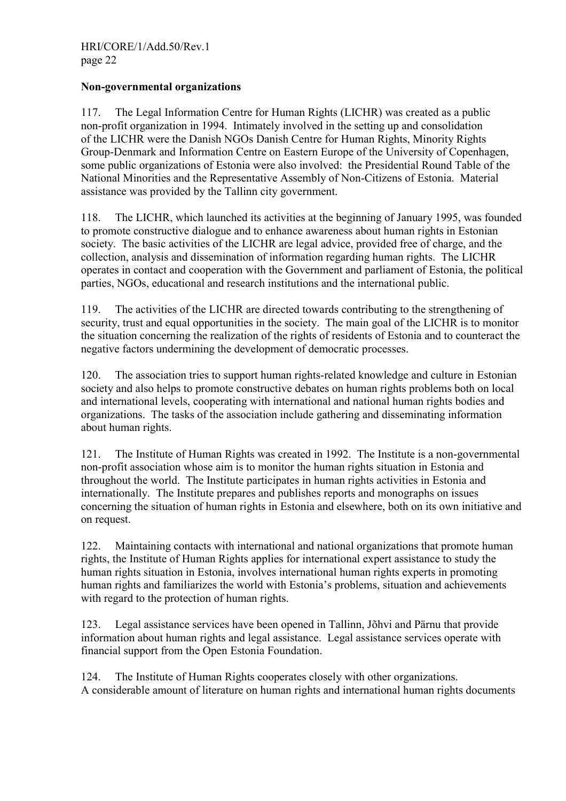#### **Non-governmental organizations**

117. The Legal Information Centre for Human Rights (LICHR) was created as a public non-profit organization in 1994. Intimately involved in the setting up and consolidation of the LICHR were the Danish NGOs Danish Centre for Human Rights, Minority Rights Group-Denmark and Information Centre on Eastern Europe of the University of Copenhagen, some public organizations of Estonia were also involved: the Presidential Round Table of the National Minorities and the Representative Assembly of Non-Citizens of Estonia. Material assistance was provided by the Tallinn city government.

118. The LICHR, which launched its activities at the beginning of January 1995, was founded to promote constructive dialogue and to enhance awareness about human rights in Estonian society. The basic activities of the LICHR are legal advice, provided free of charge, and the collection, analysis and dissemination of information regarding human rights. The LICHR operates in contact and cooperation with the Government and parliament of Estonia, the political parties, NGOs, educational and research institutions and the international public.

119. The activities of the LICHR are directed towards contributing to the strengthening of security, trust and equal opportunities in the society. The main goal of the LICHR is to monitor the situation concerning the realization of the rights of residents of Estonia and to counteract the negative factors undermining the development of democratic processes.

120. The association tries to support human rights-related knowledge and culture in Estonian society and also helps to promote constructive debates on human rights problems both on local and international levels, cooperating with international and national human rights bodies and organizations. The tasks of the association include gathering and disseminating information about human rights.

121. The Institute of Human Rights was created in 1992. The Institute is a non-governmental non-profit association whose aim is to monitor the human rights situation in Estonia and throughout the world. The Institute participates in human rights activities in Estonia and internationally. The Institute prepares and publishes reports and monographs on issues concerning the situation of human rights in Estonia and elsewhere, both on its own initiative and on request.

122. Maintaining contacts with international and national organizations that promote human rights, the Institute of Human Rights applies for international expert assistance to study the human rights situation in Estonia, involves international human rights experts in promoting human rights and familiarizes the world with Estonia's problems, situation and achievements with regard to the protection of human rights.

123. Legal assistance services have been opened in Tallinn, Jõhvi and Pärnu that provide information about human rights and legal assistance. Legal assistance services operate with financial support from the Open Estonia Foundation.

124. The Institute of Human Rights cooperates closely with other organizations. A considerable amount of literature on human rights and international human rights documents